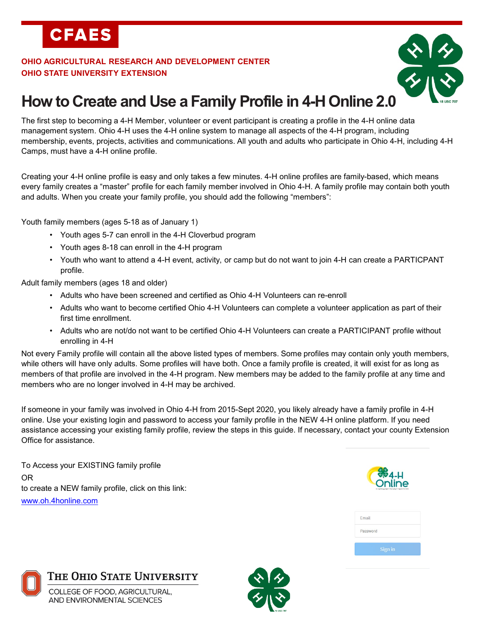**CFAES** 

#### **OHIO AGRICULTURAL RESEARCH AND DEVELOPMENT CENTER OHIO STATE UNIVERSITY EXTENSION**



# **How to Create and Use a Family Profile in 4-H Online 2.0**

The first step to becoming a 4-H Member, volunteer or event participant is creating a profile in the 4-H online data management system. Ohio 4-H uses the 4-H online system to manage all aspects of the 4-H program, including membership, events, projects, activities and communications. All youth and adults who participate in Ohio 4-H, including 4-H Camps, must have a 4-H online profile.

Creating your 4-H online profile is easy and only takes a few minutes. 4-H online profiles are family-based, which means every family creates a "master" profile for each family member involved in Ohio 4-H. A family profile may contain both youth and adults. When you create your family profile, you should add the following "members":

Youth family members (ages 5-18 as of January 1)

- Youth ages 5-7 can enroll in the 4-H Cloverbud program
- Youth ages 8-18 can enroll in the 4-H program
- Youth who want to attend a 4-H event, activity, or camp but do not want to join 4-H can create a PARTICPANT profile.

Adult family members (ages 18 and older)

- Adults who have been screened and certified as Ohio 4-H Volunteers can re-enroll
- Adults who want to become certified Ohio 4-H Volunteers can complete a volunteer application as part of their first time enrollment.
- Adults who are not/do not want to be certified Ohio 4-H Volunteers can create a PARTICIPANT profile without enrolling in 4-H

Not every Family profile will contain all the above listed types of members. Some profiles may contain only youth members, while others will have only adults. Some profiles will have both. Once a family profile is created, it will exist for as long as members of that profile are involved in the 4-H program. New members may be added to the family profile at any time and members who are no longer involved in 4-H may be archived.

If someone in your family was involved in Ohio 4-H from 2015-Sept 2020, you likely already have a family profile in 4-H online. Use your existing login and password to access your family profile in the NEW 4-H online platform. If you need assistance accessing your existing family profile, review the steps in this guide. If necessary, contact your county Extension Office for assistance.

To Access your EXISTING family profile OR to create a NEW family profile, click on this link: [www.oh.4honline.com](http://www.ohio.4honline.com/)



| Email    |  |  |
|----------|--|--|
| Password |  |  |
|          |  |  |
| Sign in  |  |  |



#### THE OHIO STATE UNIVERSITY

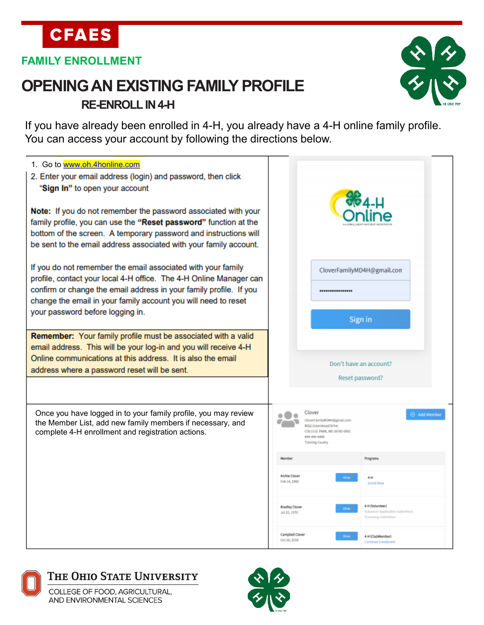### **FAMILY ENROLLMENT**

**CFAES** 

### **OPENING AN EXISTING FAMILY PROFILE RE-ENROLL IN 4-H**



If you have already been enrolled in 4-H, you already have a 4-H online family profile. You can access your account by following the directions below.





#### THE OHIO STATE UNIVERSITY

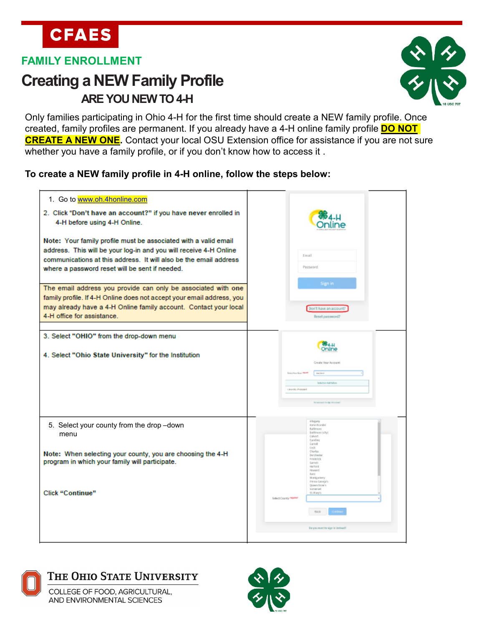**CFAES** 

#### **FAMILY ENROLLMENT**

## **Creating a NEW Family Profile ARE YOU NEW TO 4-H**



Only families participating in Ohio 4-H for the first time should create a NEW family profile. Once created, family profiles are permanent. If you already have a 4-H online family profile **DO NOT CREATE A NEW ONE.** Contact your local OSU Extension office for assistance if you are not sure whether you have a family profile, or if you don't know how to access it .

**To create a NEW family profile in 4-H online, follow the steps below:**

| 1. Go to www.oh.4honline.com<br>2. Click "Don't have an account?" if you have never enrolled in<br>4-H before using 4-H Online.<br>Note: Your family profile must be associated with a valid email                                       |                                                                                                                                                                                |  |
|------------------------------------------------------------------------------------------------------------------------------------------------------------------------------------------------------------------------------------------|--------------------------------------------------------------------------------------------------------------------------------------------------------------------------------|--|
| address. This will be your log-in and you will receive 4-H Online<br>communications at this address. It will also be the email address<br>where a password reset will be sent if needed.                                                 | Email<br>Password                                                                                                                                                              |  |
| The email address you provide can only be associated with one<br>family profile. If 4-H Online does not accept your email address, you<br>may already have a 4-H Online family account. Contact your local<br>4-H office for assistance. | Sign in<br>Don't have an account?<br>Reset password?                                                                                                                           |  |
| 3. Select "OHIO" from the drop-down menu<br>4. Select "Ohio State University" for the Institution                                                                                                                                        | Online<br>Create Vour Account<br>Scientifica State Memory<br><b>Replace</b><br><b>Infection Institution</b><br><b>University of Holyman &amp;</b><br>Divisioner beige retorned |  |
| 5. Select your county from the drop-down<br>menu                                                                                                                                                                                         | A Bostony<br><b>Kana Arundol</b><br>Baltimore<br><b>Baltimore (city)</b><br>Calvert<br>Caroline<br>Carroll<br><b>CHOR</b>                                                      |  |
| Note: When selecting your county, you are choosing the 4-H<br>program in which your family will participate.                                                                                                                             | Charles<br>Dendheste<br>Frederick<br>Garrett<br>Harford<br>Howard<br>Kamt<br>Montgaraery<br><b>Pinnon Georgin's</b><br>Queen Anne's                                            |  |
| <b>Click "Continue"</b>                                                                                                                                                                                                                  | Someroet<br>St. Mary's<br>Select County (100414)<br>BMA                                                                                                                        |  |
|                                                                                                                                                                                                                                          | Do you want to sign in instead?                                                                                                                                                |  |

## THE OHIO STATE UNIVERSITY

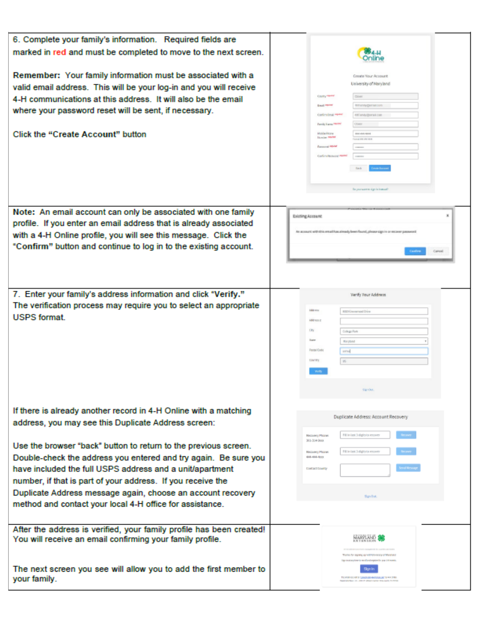| 6. Complete your family's information. Required fields are                                                                        |                                                                                                        |  |  |
|-----------------------------------------------------------------------------------------------------------------------------------|--------------------------------------------------------------------------------------------------------|--|--|
|                                                                                                                                   |                                                                                                        |  |  |
| marked in red and must be completed to move to the next screen.                                                                   |                                                                                                        |  |  |
| Remember: Your family information must be associated with a                                                                       | Create Your Account                                                                                    |  |  |
| valid email address. This will be your log-in and you will receive                                                                | University of Naryland                                                                                 |  |  |
| 4-H communications at this address. It will also be the email                                                                     | <b>CONT</b><br>County <del>Print</del>                                                                 |  |  |
| where your password reset will be sent, if necessary.                                                                             | ent unity gental com-<br><b>Grand Herman</b>                                                           |  |  |
|                                                                                                                                   | <b>Continuing report</b><br>410' amily (borrell cost)<br>COAST.<br>Family 5 area (Width)               |  |  |
| <b>Click the "Create Account" button</b>                                                                                          | Molektore<br>4444004444                                                                                |  |  |
|                                                                                                                                   | <b>Homber Within</b><br>cruit are one on<br><b><i><u>European</u></i></b> <i>Hibrid</i><br>$-1000$     |  |  |
|                                                                                                                                   | Conferrate avenue more<br><b>CONTRACTOR</b>                                                            |  |  |
|                                                                                                                                   | <b>Recis</b>                                                                                           |  |  |
|                                                                                                                                   |                                                                                                        |  |  |
|                                                                                                                                   | To provident to sign in instead                                                                        |  |  |
|                                                                                                                                   |                                                                                                        |  |  |
| Note: An email account can only be associated with one family                                                                     |                                                                                                        |  |  |
| profile. If you enter an email address that is already associated                                                                 | Existing Account                                                                                       |  |  |
| with a 4-H Online profile, you will see this message. Click the                                                                   | An account with this email fuscalmady been found, please sign in or escaver password                   |  |  |
| "Confirm" button and continue to log in to the existing account.                                                                  |                                                                                                        |  |  |
|                                                                                                                                   | Caroni                                                                                                 |  |  |
|                                                                                                                                   |                                                                                                        |  |  |
|                                                                                                                                   |                                                                                                        |  |  |
| 7. Enter your family's address information and click "Verify."                                                                    | <b>Yenly Your Address</b>                                                                              |  |  |
|                                                                                                                                   |                                                                                                        |  |  |
| The verification process may require you to select an appropriate                                                                 | <b>Idéres</b><br>\$555 Commissed Crick                                                                 |  |  |
| <b>USPS</b> format.                                                                                                               | <b>HASTERY</b>                                                                                         |  |  |
|                                                                                                                                   | Dily<br>College Park                                                                                   |  |  |
|                                                                                                                                   | <b>Durie</b><br>Raytost                                                                                |  |  |
|                                                                                                                                   | <b>Partel Croly</b><br>anna)                                                                           |  |  |
|                                                                                                                                   | Downloy<br>$\mathcal{C}_2$ .                                                                           |  |  |
|                                                                                                                                   |                                                                                                        |  |  |
|                                                                                                                                   | Signout.                                                                                               |  |  |
|                                                                                                                                   |                                                                                                        |  |  |
| If there is already another record in 4-H Online with a matching                                                                  |                                                                                                        |  |  |
| address, you may see this Duplicate Address screen:                                                                               | Duplicate Address: Account Recovery                                                                    |  |  |
|                                                                                                                                   | <b>Recover</b><br>Fill in last 3 digitals recove<br><b>Recovery Planet</b>                             |  |  |
| Use the browser "back" button to return to the previous screen.                                                                   | 311-354-9000                                                                                           |  |  |
| Double-check the address you entered and try again. Be sure you                                                                   | Fill Indeed 3 slights in recover<br><b>Registery Phone:</b><br>444-444-922                             |  |  |
| have included the full USPS address and a unit/apartment                                                                          | lend Messag<br><b>Contact Downlo</b>                                                                   |  |  |
| number, if that is part of your address. If you receive the                                                                       |                                                                                                        |  |  |
| Duplicate Address message again, choose an account recovery                                                                       |                                                                                                        |  |  |
|                                                                                                                                   | Sign But                                                                                               |  |  |
| method and contact your local 4-H office for assistance.                                                                          |                                                                                                        |  |  |
|                                                                                                                                   |                                                                                                        |  |  |
| After the address is verified, your family profile has been created!<br>You will receive an email confirming your family profile. | MARYLAND SE                                                                                            |  |  |
|                                                                                                                                   |                                                                                                        |  |  |
|                                                                                                                                   | The text for expense signalist Administration of Mandwest<br>ignization to end a depth for an 10 year. |  |  |
| The next screen you see will allow you to add the first member to                                                                 | Skyn kn                                                                                                |  |  |
| your family.                                                                                                                      | TO FOR GLYPE'S CANDIDATE AND LCCC. THE 2000<br>TAXABLE AT A 1990 F. CENTER AND THE SAID FOR THE        |  |  |
|                                                                                                                                   |                                                                                                        |  |  |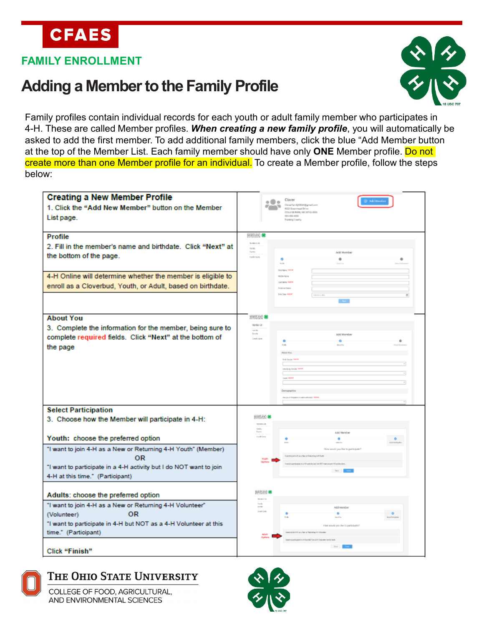

# **Adding a Member to the Family Profile**



Family profiles contain individual records for each youth or adult family member who participates in 4-H. These are called Member profiles. *When creating a new family profile*, you will automatically be asked to add the first member. To add additional family members, click the blue "Add Member button at the top of the Member List. Each family member should have only **ONE** Member profile. Do not create more than one Member profile for an individual. To create a Member profile, follow the steps below:

| <b>Creating a New Member Profile</b><br>1. Click the "Add New Member" button on the Member<br>List page.                                                                                                                                                            |                                                                                     | Clover<br>$\circ$ $\circ$<br>Clearford/6044) graduan<br><b>Contract</b><br>8000 Greenman Drive<br>COULD B PARK, NO 26742-0001<br>481-001-0081<br>Training County        |                                                                                                                                            | <b>B</b> Additional |
|---------------------------------------------------------------------------------------------------------------------------------------------------------------------------------------------------------------------------------------------------------------------|-------------------------------------------------------------------------------------|-------------------------------------------------------------------------------------------------------------------------------------------------------------------------|--------------------------------------------------------------------------------------------------------------------------------------------|---------------------|
| <b>Profile</b><br>2. Fill in the member's name and birthdate. Click "Next" at<br>the bottom of the page.<br>4-H Online will determine whether the member is eligible to<br>enroll as a Cloverbud, Youth, or Adult, based on birthdate.                              | HARLEY 88<br><b>Remissed Inf</b><br>tonty<br>Funds<br><b>Explicitude</b>            | ۰<br><b>Audio</b><br><b>Final Harry Horne</b><br>Milleland<br><b>ANTIQUE COMPANY</b><br><b><i><u><u><b>Anderson Warren</b></u></u></i></b><br><b>Side State William</b> | Add Member<br>ä                                                                                                                            | ٠                   |
| <b>About You</b><br>3. Complete the information for the member, being sure to<br>complete required fields. Click "Next" at the bottom of<br>the page                                                                                                                | <b>MARXANE SE</b><br>texto de<br>ma<br><b>Death</b><br><b>Central Cards</b>         | ۰<br><b>No</b><br>About Visa<br><b>Brille Davids 1980</b><br><b>Identicing Constantinent</b><br><b>Gas were</b><br>Demographics                                         | Articl Member<br>٠                                                                                                                         | ۰                   |
| <b>Select Participation</b><br>3. Choose how the Member will participate in 4-H:<br>Youth: choose the preferred option<br>"I want to join 4-H as a New or Returning 4-H Youth" (Member)<br>ОR<br>"I want to participate in a 4-H activity but I do NOT want to join | 田田吉山 華<br><b><i><u>Services</u></i></b><br>inis<br>Inis<br><b>Section Conde</b>     | Exercise Life as New Interning Lifetian                                                                                                                                 | Add Nember<br>۰<br>Here would can like its participate?<br>I excitement interests a VII popular but 1-to 507 hopes to can VII at all other |                     |
| 4-H at this time." (Participant)<br>Adults: choose the preferred option<br>"I want to join 4-H as a New or Returning 4-H Volunteer"<br><b>OR</b><br>(Volunteer)<br>"I want to participate in 4-H but NOT as a 4-H Volunteer at this<br>time." (Participant)         | <b>MADDE #</b><br><b>Personal Inc.</b><br>long<br><b>Link</b><br><b>DealerCards</b> | showed an a line or Extension Art 1                                                                                                                                     | link 1977<br>Add Meniber<br><b>Selection</b><br>Ham mould you like to party                                                                | $\circ$             |
| Click "Finish"                                                                                                                                                                                                                                                      |                                                                                     |                                                                                                                                                                         | But I                                                                                                                                      |                     |

### THE OHIO STATE UNIVERSITY